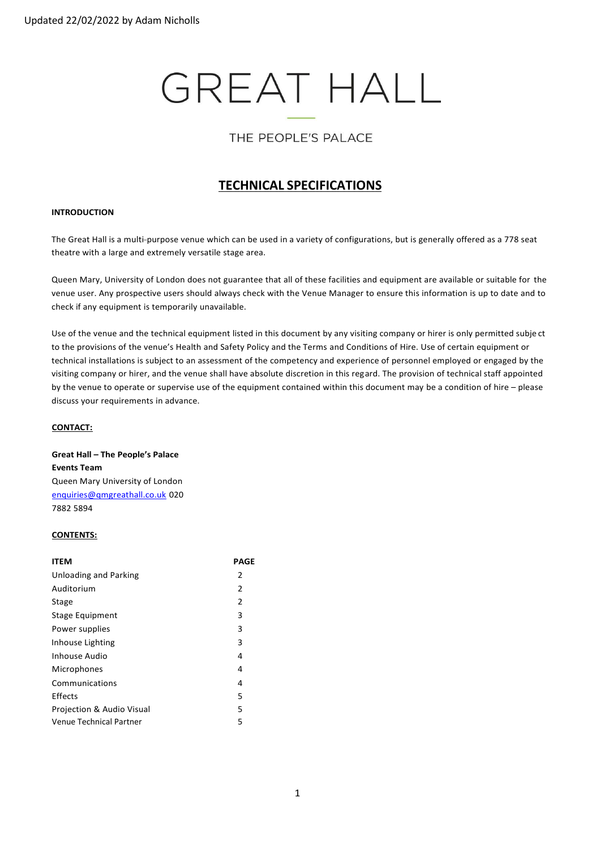# **GREAT HALL**

# THE PEOPLE'S PALACE

# **TECHNICAL SPECIFICATIONS**

# **INTRODUCTION**

The Great Hall is a multi-purpose venue which can be used in a variety of configurations, but is generally offered as a 778 seat theatre with a large and extremely versatile stage area.

Queen Mary, University of London does not guarantee that all of these facilities and equipment are available or suitable for the venue user. Any prospective users should always check with the Venue Manager to ensure this information is up to date and to check if any equipment is temporarily unavailable.

Use of the venue and the technical equipment listed in this document by any visiting company or hirer is only permitted subje ct to the provisions of the venue's Health and Safety Policy and the Terms and Conditions of Hire. Use of certain equipment or technical installations is subject to an assessment of the competency and experience of personnel employed or engaged by the visiting company or hirer, and the venue shall have absolute discretion in this regard. The provision of technical staff appointed by the venue to operate or supervise use of the equipment contained within this document may be a condition of hire – please discuss your requirements in advance.

# **CONTACT:**

**Great Hall – The People's Palace Events Team** Queen Mary University of London [enquiries@qmgreathall.co.uk](mailto:enquiries@qmgreathall.co.uk) 020 7882 5894

# **CONTENTS:**

| <b>ITEM</b>                  | PAGE |
|------------------------------|------|
| <b>Unloading and Parking</b> | 2    |
| Auditorium                   | 2    |
| Stage                        | 2    |
| Stage Equipment              | 3    |
| Power supplies               | 3    |
| Inhouse Lighting             | 3    |
| Inhouse Audio                | 4    |
| Microphones                  | 4    |
| Communications               | 4    |
| Effects                      | 5    |
| Projection & Audio Visual    | 5    |
| Venue Technical Partner      | 5    |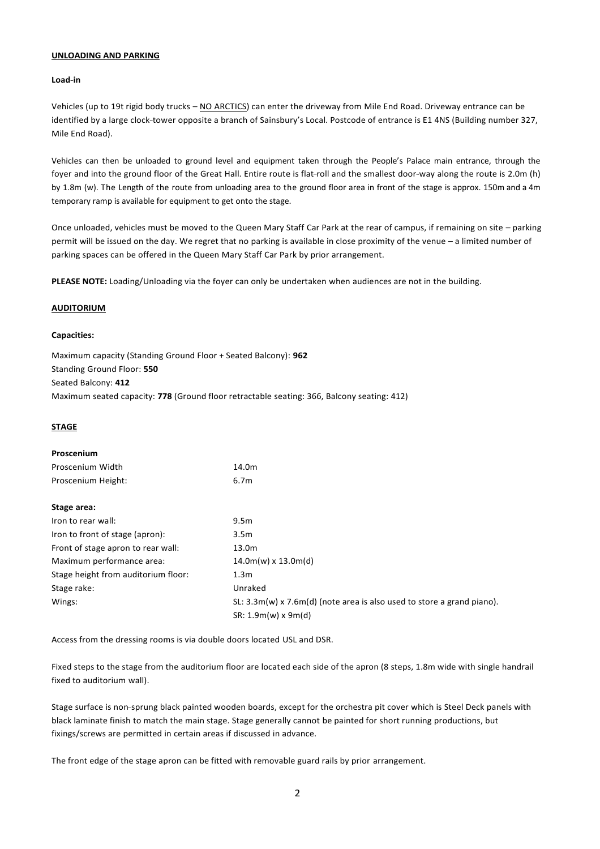#### **UNLOADING AND PARKING**

#### **Load-in**

Vehicles (up to 19t rigid body trucks – NO ARCTICS) can enter the driveway from Mile End Road. Driveway entrance can be identified by a large clock-tower opposite a branch of Sainsbury's Local. Postcode of entrance is E1 4NS (Building number 327, Mile End Road).

Vehicles can then be unloaded to ground level and equipment taken through the People's Palace main entrance, through the foyer and into the ground floor of the Great Hall. Entire route is flat-roll and the smallest door-way along the route is 2.0m (h) by 1.8m (w). The Length of the route from unloading area to the ground floor area in front of the stage is approx. 150m and a 4m temporary ramp is available for equipment to get onto the stage.

Once unloaded, vehicles must be moved to the Queen Mary Staff Car Park at the rear of campus, if remaining on site – parking permit will be issued on the day. We regret that no parking is available in close proximity of the venue – a limited number of parking spaces can be offered in the Queen Mary Staff Car Park by prior arrangement.

**PLEASE NOTE:** Loading/Unloading via the foyer can only be undertaken when audiences are not in the building.

# **AUDITORIUM**

#### **Capacities:**

Maximum capacity (Standing Ground Floor + Seated Balcony): **962** Standing Ground Floor: **550** Seated Balcony: **412** Maximum seated capacity: **778** (Ground floor retractable seating: 366, Balcony seating: 412)

# **STAGE**

| Proscenium                          |                                                                               |
|-------------------------------------|-------------------------------------------------------------------------------|
| Proscenium Width                    | 14.0m                                                                         |
| Proscenium Height:                  | 6.7 <sub>m</sub>                                                              |
| Stage area:                         |                                                                               |
| Iron to rear wall:                  | 9.5 <sub>m</sub>                                                              |
| Iron to front of stage (apron):     | 3.5 <sub>m</sub>                                                              |
| Front of stage apron to rear wall:  | 13.0m                                                                         |
| Maximum performance area:           | $14.0m(w) \times 13.0m(d)$                                                    |
| Stage height from auditorium floor: | 1.3 <sub>m</sub>                                                              |
| Stage rake:                         | Unraked                                                                       |
| Wings:                              | SL: $3.3m(w) \times 7.6m(d)$ (note area is also used to store a grand piano). |
|                                     | $SR: 1.9m(w) \times 9m(d)$                                                    |

Access from the dressing rooms is via double doors located USL and DSR.

Fixed steps to the stage from the auditorium floor are located each side of the apron (8 steps, 1.8m wide with single handrail fixed to auditorium wall).

Stage surface is non-sprung black painted wooden boards, except for the orchestra pit cover which is Steel Deck panels with black laminate finish to match the main stage. Stage generally cannot be painted for short running productions, but fixings/screws are permitted in certain areas if discussed in advance.

The front edge of the stage apron can be fitted with removable guard rails by prior arrangement.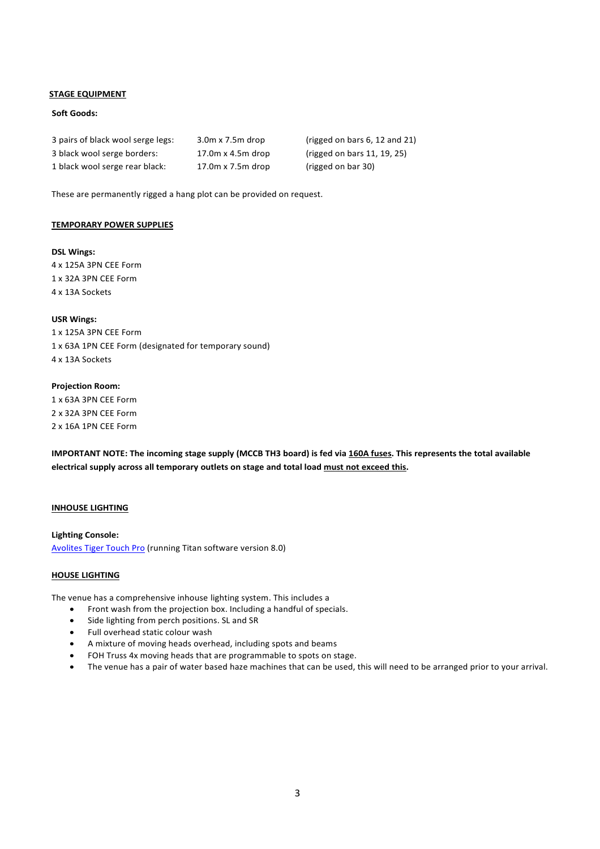# **STAGE EQUIPMENT**

# **Soft Goods:**

| 3 pairs of black wool serge legs: | $3.0m \times 7.5m$ drop | (rigged on bars $6, 12$ and $21$ ) |
|-----------------------------------|-------------------------|------------------------------------|
| 3 black wool serge borders:       | 17.0m x 4.5m drop       | (rigged on bars 11, 19, 25)        |
| 1 black wool serge rear black:    | 17.0m x 7.5m drop       | (rigged on bar 30)                 |

These are permanently rigged a hang plot can be provided on request.

#### **TEMPORARY POWER SUPPLIES**

# **DSL Wings:** 4 x 125A 3PN CEE Form 1 x 32A 3PN CEE Form 4 x 13A Sockets

**USR Wings:** 1 x 125A 3PN CEE Form 1 x 63A 1PN CEE Form (designated for temporary sound) 4 x 13A Sockets

# **Projection Room:**

1 x 63A 3PN CEE Form 2 x 32A 3PN CEE Form 2 x 16A 1PN CEE Form

**IMPORTANT NOTE: The incoming stage supply (MCCB TH3 board) is fed via 160A fuses. This represents the total available electrical supply across all temporary outlets on stage and total load must not exceed this.**

# **INHOUSE LIGHTING**

**Lighting Console:** Avolites Tiger Touch Pro (running Titan software version 8.0)

#### **HOUSE LIGHTING**

The venue has a comprehensive inhouse lighting system. This includes a

- Front wash from the projection box. Including a handful of specials.
- Side lighting from perch positions. SL and SR
- Full overhead static colour wash
- A mixture of moving heads overhead, including spots and beams
- FOH Truss 4x moving heads that are programmable to spots on stage.
- The venue has a pair of water based haze machines that can be used, this will need to be arranged prior to your arrival.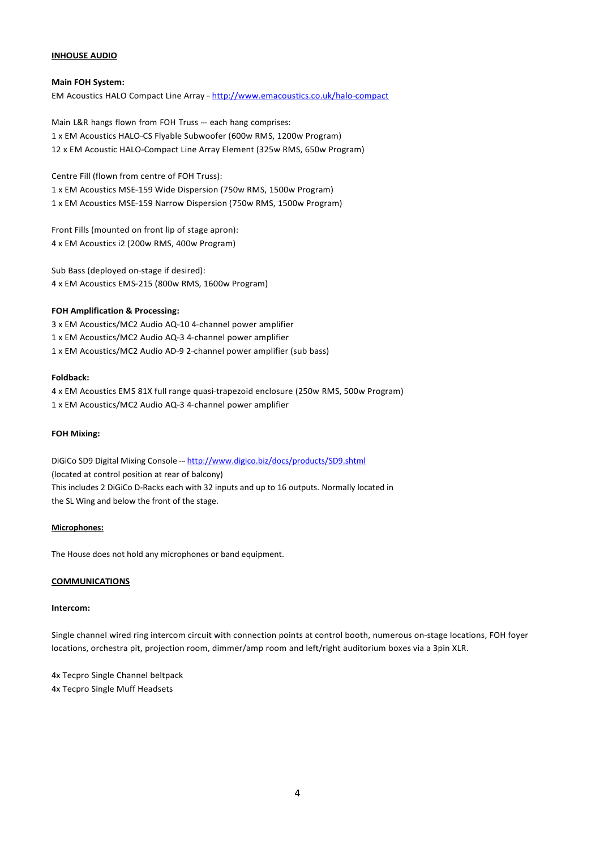# **INHOUSE AUDIO**

# **Main FOH System:**

EM Acoustics HALO Compact Line Array - <http://www.emacoustics.co.uk/halo->compact

Main L&R hangs flown from FOH Truss --- each hang comprises: 1 x EM Acoustics HALO-CS Flyable Subwoofer (600w RMS, 1200w Program) 12 x EM Acoustic HALO-Compact Line Array Element (325w RMS, 650w Program)

Centre Fill (flown from centre of FOH Truss):

1 x EM Acoustics MSE-159 Wide Dispersion (750w RMS, 1500w Program) 1 x EM Acoustics MSE-159 Narrow Dispersion (750w RMS, 1500w Program)

Front Fills (mounted on front lip of stage apron): 4 x EM Acoustics i2 (200w RMS, 400w Program)

Sub Bass (deployed on-stage if desired): 4 x EM Acoustics EMS-215 (800w RMS, 1600w Program)

# **FOH Amplification & Processing:**

3 x EM Acoustics/MC2 Audio AQ-10 4-channel power amplifier 1 x EM Acoustics/MC2 Audio AQ-3 4-channel power amplifier 1 x EM Acoustics/MC2 Audio AD-9 2-channel power amplifier (sub bass)

# **Foldback:**

4 x EM Acoustics EMS 81X full range quasi-trapezoid enclosure (250w RMS, 500w Program) 1 x EM Acoustics/MC2 Audio AQ-3 4-channel power amplifier

# **FOH Mixing:**

DiGiCo SD9 Digital Mixing Console --- <http://www.digico.biz/docs/products/SD9.shtml> (located at control position at rear of balcony) This includes 2 DiGiCo D-Racks each with 32 inputs and up to 16 outputs. Normally located in the SL Wing and below the front of the stage.

# **Microphones:**

The House does not hold any microphones or band equipment.

# **COMMUNICATIONS**

#### **Intercom:**

Single channel wired ring intercom circuit with connection points at control booth, numerous on-stage locations, FOH foyer locations, orchestra pit, projection room, dimmer/amp room and left/right auditorium boxes via a 3pin XLR.

4x Tecpro Single Channel beltpack 4x Tecpro Single Muff Headsets